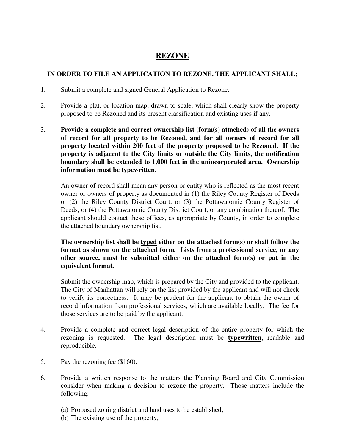## **REZONE**

## **IN ORDER TO FILE AN APPLICATION TO REZONE, THE APPLICANT SHALL;**

- 1. Submit a complete and signed General Application to Rezone.
- 2. Provide a plat, or location map, drawn to scale, which shall clearly show the property proposed to be Rezoned and its present classification and existing uses if any.
- 3**. Provide a complete and correct ownership list (form(s) attached) of all the owners of record for all property to be Rezoned, and for all owners of record for all property located within 200 feet of the property proposed to be Rezoned. If the property is adjacent to the City limits or outside the City limits, the notification boundary shall be extended to 1,000 feet in the unincorporated area. Ownership information must be typewritten**.

An owner of record shall mean any person or entity who is reflected as the most recent owner or owners of property as documented in (1) the Riley County Register of Deeds or (2) the Riley County District Court, or (3) the Pottawatomie County Register of Deeds, or (4) the Pottawatomie County District Court, or any combination thereof. The applicant should contact these offices, as appropriate by County, in order to complete the attached boundary ownership list.

**The ownership list shall be typed either on the attached form(s) or shall follow the format as shown on the attached form. Lists from a professional service, or any other source, must be submitted either on the attached form(s) or put in the equivalent format.**

Submit the ownership map, which is prepared by the City and provided to the applicant. The City of Manhattan will rely on the list provided by the applicant and will not check to verify its correctness. It may be prudent for the applicant to obtain the owner of record information from professional services, which are available locally. The fee for those services are to be paid by the applicant.

- 4. Provide a complete and correct legal description of the entire property for which the rezoning is requested. The legal description must be **typewritten,** readable and reproducible.
- 5. Pay the rezoning fee (\$160).
- 6. Provide a written response to the matters the Planning Board and City Commission consider when making a decision to rezone the property. Those matters include the following:
	- (a) Proposed zoning district and land uses to be established;
	- (b) The existing use of the property;